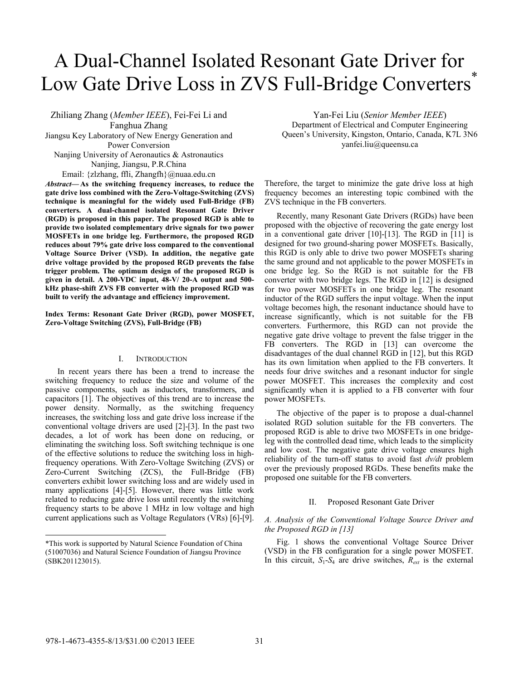# A Dual-Channel Isolated Resonant Gate Driver for Low Gate Drive Loss in ZVS Full-Bridge Converters<sup>\*</sup>

Zhiliang Zhang (*Member IEEE*), Fei-Fei Li and Fanghua Zhang Jiangsu Key Laboratory of New Energy Generation and Power Conversion Nanjing University of Aeronautics & Astronautics Nanjing, Jiangsu, P.R.China Email: {zlzhang, ffli, Zhangfh}@nuaa.edu.cn

*Abstract—* **As the switching frequency increases, to reduce the gate drive loss combined with the Zero-Voltage-Switching (ZVS) technique is meaningful for the widely used Full-Bridge (FB) converters. A dual-channel isolated Resonant Gate Driver (RGD) is proposed in this paper. The proposed RGD is able to provide two isolated complementary drive signals for two power MOSFETs in one bridge leg. Furthermore, the proposed RGD reduces about 79% gate drive loss compared to the conventional Voltage Source Driver (VSD). In addition, the negative gate drive voltage provided by the proposed RGD prevents the false trigger problem. The optimum design of the proposed RGD is given in detail. A 200-VDC input, 48-V/ 20-A output and 500 kHz phase-shift ZVS FB converter with the proposed RGD was built to verify the advantage and efficiency improvement.** 

**Index Terms: Resonant Gate Driver (RGD), power MOSFET, Zero-Voltage Switching (ZVS), Full-Bridge (FB)** 

## I. INTRODUCTION

In recent years there has been a trend to increase the switching frequency to reduce the size and volume of the passive components, such as inductors, transformers, and capacitors [1]. The objectives of this trend are to increase the power density. Normally, as the switching frequency increases, the switching loss and gate drive loss increase if the conventional voltage drivers are used [2]-[3]. In the past two decades, a lot of work has been done on reducing, or eliminating the switching loss. Soft switching technique is one of the effective solutions to reduce the switching loss in highfrequency operations. With Zero-Voltage Switching (ZVS) or Zero-Current Switching (ZCS), the Full-Bridge (FB) converters exhibit lower switching loss and are widely used in many applications [4]-[5]. However, there was little work related to reducing gate drive loss until recently the switching frequency starts to be above 1 MHz in low voltage and high current applications such as Voltage Regulators (VRs) [6]-[9].

Yan-Fei Liu (*Senior Member IEEE*) Department of Electrical and Computer Engineering Queen's University, Kingston, Ontario, Canada, K7L 3N6 yanfei.liu@queensu.ca

Therefore, the target to minimize the gate drive loss at high frequency becomes an interesting topic combined with the ZVS technique in the FB converters.

Recently, many Resonant Gate Drivers (RGDs) have been proposed with the objective of recovering the gate energy lost in a conventional gate driver [10]-[13]. The RGD in [11] is designed for two ground-sharing power MOSFETs. Basically, this RGD is only able to drive two power MOSFETs sharing the same ground and not applicable to the power MOSFETs in one bridge leg. So the RGD is not suitable for the FB converter with two bridge legs. The RGD in [12] is designed for two power MOSFETs in one bridge leg. The resonant inductor of the RGD suffers the input voltage. When the input voltage becomes high, the resonant inductance should have to increase significantly, which is not suitable for the FB converters. Furthermore, this RGD can not provide the negative gate drive voltage to prevent the false trigger in the FB converters. The RGD in [13] can overcome the disadvantages of the dual channel RGD in [12], but this RGD has its own limitation when applied to the FB converters. It needs four drive switches and a resonant inductor for single power MOSFET. This increases the complexity and cost significantly when it is applied to a FB converter with four power MOSFETs.

The objective of the paper is to propose a dual-channel isolated RGD solution suitable for the FB converters. The proposed RGD is able to drive two MOSFETs in one bridgeleg with the controlled dead time, which leads to the simplicity and low cost. The negative gate drive voltage ensures high reliability of the turn-off status to avoid fast *dv/dt* problem over the previously proposed RGDs. These benefits make the proposed one suitable for the FB converters.

## II. Proposed Resonant Gate Driver

# *A. Analysis of the Conventional Voltage Source Driver and the Proposed RGD in [13]*

Fig. 1 shows the conventional Voltage Source Driver (VSD) in the FB configuration for a single power MOSFET. In this circuit,  $S_1$ - $S_4$  are drive switches,  $R_{ext}$  is the external

l

<sup>\*</sup>This work is supported by Natural Science Foundation of China (51007036) and Natural Science Foundation of Jiangsu Province (SBK201123015).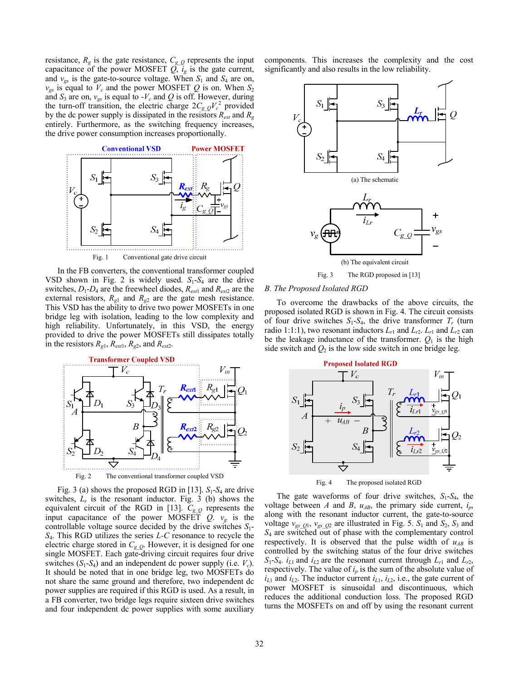resistance,  $R_g$  is the gate resistance,  $C_{g_2}$  represents the input capacitance of the power MOSFET  $Q, i_g$  is the gate current, and  $v_{gs}$  is the gate-to-source voltage. When  $S_1$  and  $S_4$  are on,  $v_{gs}$  is equal to  $V_c$  and the power MOSFET Q is on. When  $S_2$ and  $S_3$  are on,  $v_{gs}$  is equal to  $-V_c$  and Q is off. However, during the turn-off transition, the electric charge  $2C_{gQ}V_c^2$  provided by the dc power supply is dissipated in the resistors  $R_{ext}$  and  $R_g$ entirely. Furthermore, as the switching frequency increases, the drive power consumption increases proportionally.



In the FB converters, the conventional transformer coupled VSD shown in Fig. 2 is widely used.  $S_1-S_4$  are the drive switches,  $D_1$ - $D_4$  are the freewheel diodes,  $R_{ext1}$  and  $R_{ext2}$  are the external resistors,  $R_{g1}$  and  $R_{g2}$  are the gate mesh resistance. This VSD has the ability to drive two power MOSFETs in one bridge leg with isolation, leading to the low complexity and high reliability. Unfortunately, in this VSD, the energy provided to drive the power MOSFETs still dissipates totally in the resistors  $R_{g1}$ ,  $R_{ext1}$ ,  $R_{g2}$ , and  $R_{ext2}$ .



Fig. 3 (a) shows the proposed RGD in [13].  $S_1-S_4$  are drive switches,  $L_r$  is the resonant inductor. Fig. 3 (b) shows the equivalent circuit of the RGD in [13].  $C_{gQ}$  represents the input capacitance of the power MOSFET  $Q_1$ .  $v_g$  is the controllable voltage source decided by the drive switches *S*1- *S*4. This RGD utilizes the series *L-C* resonance to recycle the electric charge stored in *Cg\_Q*. However, it is designed for one single MOSFET. Each gate-driving circuit requires four drive switches  $(S_1-S_4)$  and an independent dc power supply (i.e.  $V_c$ ). It should be noted that in one bridge leg, two MOSFETs do not share the same ground and therefore, two independent dc power supplies are required if this RGD is used. As a result, in a FB converter, two bridge legs require sixteen drive switches and four independent dc power supplies with some auxiliary

components. This increases the complexity and the cost significantly and also results in the low reliability.



#### *B. The Proposed Isolated RGD*

To overcome the drawbacks of the above circuits, the proposed isolated RGD is shown in Fig. 4. The circuit consists of four drive switches  $S_1-S_4$ , the drive transformer  $T_r$  (turn radio 1:1:1), two resonant inductors  $L_{r1}$  and  $L_{r2}$ .  $L_{r1}$  and  $L_{r2}$  can be the leakage inductance of the transformer.  $Q_1$  is the high side switch and  $Q_2$  is the low side switch in one bridge leg.



Fig. 4 The proposed isolated RGD

The gate waveforms of four drive switches, *S*1-*S*4, the voltage between *A* and *B*,  $u_{AB}$ , the primary side current,  $i_p$ , along with the resonant inductor current, the gate-to-source voltage  $v_{gs\_Q1}$ ,  $v_{gs\_Q2}$  are illustrated in Fig. 5.  $S_1$  and  $S_2$ ,  $S_3$  and *S*4 are switched out of phase with the complementary control respectively. It is observed that the pulse width of  $u_{AB}$  is controlled by the switching status of the four drive switches  $S_1$ -*S*<sub>4</sub>. *i*<sub>L1</sub> and *i*<sub>L2</sub> are the resonant current through  $L_{r1}$  and  $L_{r2}$ , respectively. The value of  $i_p$  is the sum of the absolute value of  $i_{L1}$  and  $i_{L2}$ . The inductor current  $i_{L1}$ ,  $i_{L2}$ , i.e., the gate current of power MOSFET is sinusoidal and discontinuous, which reduces the additional conduction loss. The proposed RGD turns the MOSFETs on and off by using the resonant current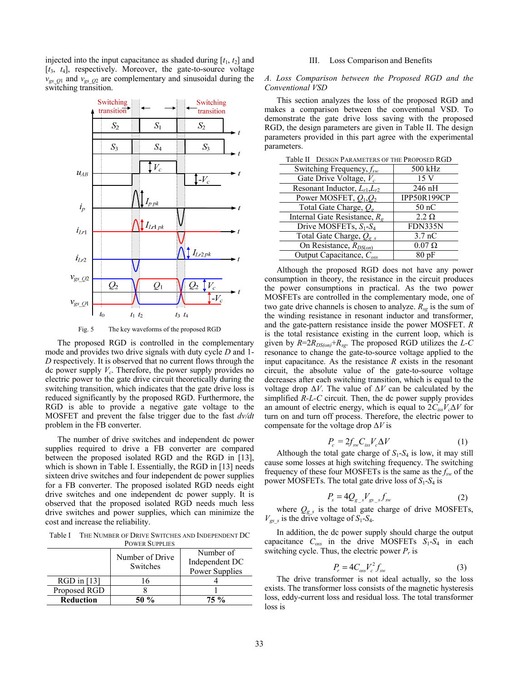injected into the input capacitance as shaded during  $[t_1, t_2]$  and [*t*3, *t*4], respectively. Moreover, the gate-to-source voltage  $v_{gsQ1}$  and  $v_{gsQ2}$  are complementary and sinusoidal during the switching transition.



Fig. 5 The key waveforms of the proposed RGD

The proposed RGD is controlled in the complementary mode and provides two drive signals with duty cycle *D* and 1- *D* respectively. It is observed that no current flows through the dc power supply  $V_c$ . Therefore, the power supply provides no electric power to the gate drive circuit theoretically during the switching transition, which indicates that the gate drive loss is reduced significantly by the proposed RGD. Furthermore, the RGD is able to provide a negative gate voltage to the MOSFET and prevent the false trigger due to the fast *dv/dt* problem in the FB converter.

The number of drive switches and independent dc power supplies required to drive a FB converter are compared between the proposed isolated RGD and the RGD in [13], which is shown in Table I. Essentially, the RGD in [13] needs sixteen drive switches and four independent dc power supplies for a FB converter. The proposed isolated RGD needs eight drive switches and one independent dc power supply. It is observed that the proposed isolated RGD needs much less drive switches and power supplies, which can minimize the cost and increase the reliability.

Table I THE NUMBER OF DRIVE SWITCHES AND INDEPENDENT DC POWER SUPPLIES

|                  | Number of Drive<br>Switches | Number of<br>Independent DC<br>Power Supplies |
|------------------|-----------------------------|-----------------------------------------------|
| $RGD$ in [13]    |                             |                                               |
| Proposed RGD     |                             |                                               |
| <b>Reduction</b> | $50\%$                      | 75 %                                          |

### III. Loss Comparison and Benefits

## *A. Loss Comparison between the Proposed RGD and the Conventional VSD*

This section analyzes the loss of the proposed RGD and makes a comparison between the conventional VSD. To demonstrate the gate drive loss saving with the proposed RGD, the design parameters are given in Table II. The design parameters provided in this part agree with the experimental parameters.

| LAUIC II DESIGN I ARAMETERS OF THE I ROPOSED IN LOD |                   |  |
|-----------------------------------------------------|-------------------|--|
| Switching Frequency, $f_{sw}$                       | 500 kHz           |  |
| Gate Drive Voltage, $V_c$                           | 15 <sub>V</sub>   |  |
| Resonant Inductor, $L_{r1}$ , $L_{r2}$              | 246 nH            |  |
| Power MOSFET, $Q_1, Q_2$                            | IPP50R199CP       |  |
| Total Gate Charge, $Q_{g}$                          | $50$ nC           |  |
| Internal Gate Resistance, $R_{\alpha}$              | $2.2 \Omega$      |  |
| Drive MOSFETs, $S_1-S_4$                            | FDN335N           |  |
| Total Gate Charge, $Q_{g,s}$                        | 3.7 <sub>nC</sub> |  |
| On Resistance, $R_{DS(on)}$                         | $0.07 \Omega$     |  |
| Output Capacitance, $C_{\alpha ss}$                 | $80~\mathrm{pF}$  |  |

Table II DESIGN PARAMETERS OF THE PROPOSED RGD

Although the proposed RGD does not have any power consumption in theory, the resistance in the circuit produces the power consumptions in practical. As the two power MOSFETs are controlled in the complementary mode, one of two gate drive channels is chosen to analyze.  $R_{sg}$  is the sum of the winding resistance in resonant inductor and transformer, and the gate-pattern resistance inside the power MOSFET. *R* is the total resistance existing in the current loop, which is given by  $R = 2R_{DS(on)} + R_{sg}$ . The proposed RGD utilizes the *L-C* resonance to change the gate-to-source voltage applied to the input capacitance. As the resistance *R* exists in the resonant circuit, the absolute value of the gate-to-source voltage decreases after each switching transition, which is equal to the voltage drop  $\Delta V$ . The value of  $\Delta V$  can be calculated by the simplified *R-L-C* circuit. Then, the dc power supply provides an amount of electric energy, which is equal to 2*CissVc*Δ*V* for turn on and turn off process. Therefore, the electric power to compensate for the voltage drop Δ*V* is

$$
P_c = 2f_{sw}C_{iss}V_c\Delta V\tag{1}
$$

Although the total gate charge of  $S_1$ - $S_4$  is low, it may still cause some losses at high switching frequency. The switching frequency of these four MOSFETs is the same as the  $f<sub>sw</sub>$  of the power MOSFETs. The total gate drive loss of  $S_1$ - $S_4$  is

$$
P_s = 4Q_{g_s} V_{gs_s} f_{sw} \tag{2}
$$

where  $Q_{g,s}$  is the total gate charge of drive MOSFETs,  $V_{gs}$ <sub>s</sub> is the drive voltage of  $S_1$ - $S_4$ .

In addition, the dc power supply should charge the output capacitance  $C_{\text{oss}}$  in the drive MOSFETs  $S_1-S_4$  in each switching cycle. Thus, the electric power  $P_r$  is

$$
P_r = 4C_{oss}V_c^2 f_{sw}
$$
 (3)

The drive transformer is not ideal actually, so the loss exists. The transformer loss consists of the magnetic hysteresis loss, eddy-current loss and residual loss. The total transformer loss is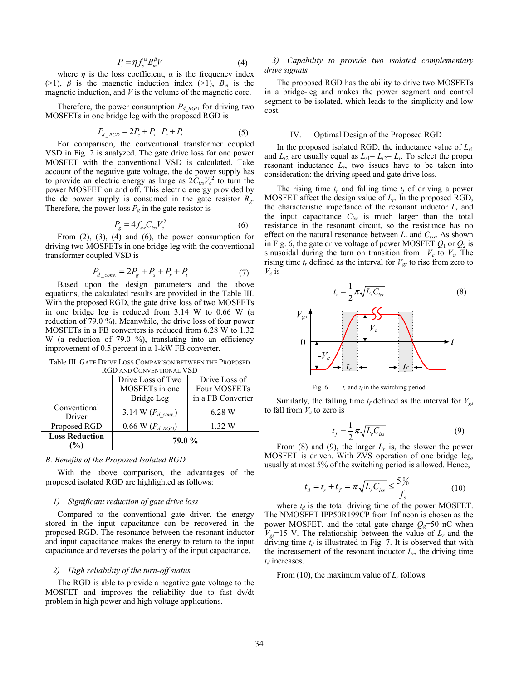$$
P_t = \eta f_s^{\alpha} B_m^{\beta} V \tag{4}
$$

where  $\eta$  is the loss coefficient,  $\alpha$  is the frequency index ( $>1$ ),  $\beta$  is the magnetic induction index ( $>1$ ),  $B_m$  is the magnetic induction, and *V* is the volume of the magnetic core.

Therefore, the power consumption  $P_{d\,RGD}$  for driving two MOSFETs in one bridge leg with the proposed RGD is

$$
P_{d\_RGD} = 2P_c + P_s + P_r + P_t \tag{5}
$$

For comparison, the conventional transformer coupled VSD in Fig. 2 is analyzed. The gate drive loss for one power MOSFET with the conventional VSD is calculated. Take account of the negative gate voltage, the dc power supply has to provide an electric energy as large as  $2\tilde{C}_{iss}V_c^2$  to turn the power MOSFET on and off. This electric energy provided by the dc power supply is consumed in the gate resistor *Rg*. Therefore, the power loss  $P_g$  in the gate resistor is

$$
P_g = 4f_{sw}C_{iss}V_c^2
$$
 (6)

From  $(2)$ ,  $(3)$ ,  $(4)$  and  $(6)$ , the power consumption for driving two MOSFETs in one bridge leg with the conventional transformer coupled VSD is

$$
P_{d_{\text{conv.}}} = 2P_g + P_s + P_r + P_t \tag{7}
$$

Based upon the design parameters and the above equations, the calculated results are provided in the Table III. With the proposed RGD, the gate drive loss of two MOSFETs in one bridge leg is reduced from 3.14 W to 0.66 W (a reduction of 79.0 %). Meanwhile, the drive loss of four power MOSFETs in a FB converters is reduced from 6.28 W to 1.32 W (a reduction of 79.0 %), translating into an efficiency improvement of 0.5 percent in a 1-kW FB converter.

Table III GATE DRIVE LOSS COMPARISON BETWEEN THE PROPOSED RGD AND CONVENTIONAL VSD

| <u>INJD AIND CONTENTIONE TOD</u> |                                |                   |  |  |
|----------------------------------|--------------------------------|-------------------|--|--|
|                                  | Drive Loss of Two              | Drive Loss of     |  |  |
|                                  | MOSFETs in one                 | Four MOSFETs      |  |  |
|                                  | Bridge Leg                     | in a FB Converter |  |  |
| Conventional<br>Driver           | 3.14 W $(P_{d \text{ conv.}})$ | 6.28 W            |  |  |
| Proposed RGD                     | 0.66 W $(P_{d \, RGD})$        | 1.32 W            |  |  |
| <b>Loss Reduction</b>            | <b>79.0 %</b>                  |                   |  |  |

#### *B. Benefits of the Proposed Isolated RGD*

With the above comparison, the advantages of the proposed isolated RGD are highlighted as follows:

#### *1) Significant reduction of gate drive loss*

Compared to the conventional gate driver, the energy stored in the input capacitance can be recovered in the proposed RGD. The resonance between the resonant inductor and input capacitance makes the energy to return to the input capacitance and reverses the polarity of the input capacitance.

# *2) High reliability of the turn-off status*

The RGD is able to provide a negative gate voltage to the MOSFET and improves the reliability due to fast dv/dt problem in high power and high voltage applications.

# *3) Capability to provide two isolated complementary drive signals*

The proposed RGD has the ability to drive two MOSFETs in a bridge-leg and makes the power segment and control segment to be isolated, which leads to the simplicity and low cost.

# IV. Optimal Design of the Proposed RGD

In the proposed isolated RGD, the inductance value of  $L_{r1}$ and  $L_{r2}$  are usually equal as  $L_{r1} = L_{r2} = L_r$ . To select the proper resonant inductance  $L_r$ , two issues have to be taken into consideration: the driving speed and gate drive loss.

The rising time  $t_r$  and falling time  $t_f$  of driving a power MOSFET affect the design value of *Lr*. In the proposed RGD, the characteristic impedance of the resonant inductor  $L_r$  and the input capacitance  $C_{iss}$  is much larger than the total resistance in the resonant circuit, so the resistance has no effect on the natural resonance between  $L_r$  and  $C_{iss}$ . As shown in Fig. 6, the gate drive voltage of power MOSFET  $Q_1$  or  $Q_2$  is sinusoidal during the turn on transition from  $-V_c$  to  $V_c$ . The rising time  $t_r$  defined as the interval for  $V_{gs}$  to rise from zero to  $V_c$  is



Fig. 6  $t_r$  and  $t_f$  in the switching period

Similarly, the falling time  $t_f$  defined as the interval for  $V_{gs}$ to fall from  $V_c$  to zero is

$$
t_f = \frac{1}{2} \pi \sqrt{L_r C_{iss}} \tag{9}
$$

From (8) and (9), the larger  $L_r$  is, the slower the power MOSFET is driven. With ZVS operation of one bridge leg, usually at most 5% of the switching period is allowed. Hence,

$$
t_d = t_r + t_f = \pi \sqrt{L_r C_{iss}} \le \frac{5\%}{f_s}
$$
 (10)

where  $t_d$  is the total driving time of the power MOSFET. The NMOSFET IPP50R199CP from Infineon is chosen as the power MOSFET, and the total gate charge  $Q_g$ =50 nC when  $V_{gs}$ =15 V. The relationship between the value of  $L_r$  and the driving time  $t_d$  is illustrated in Fig. 7. It is observed that with the increasement of the resonant inductor  $L_r$ , the driving time  $t_d$  increases.

From (10), the maximum value of *Lr* follows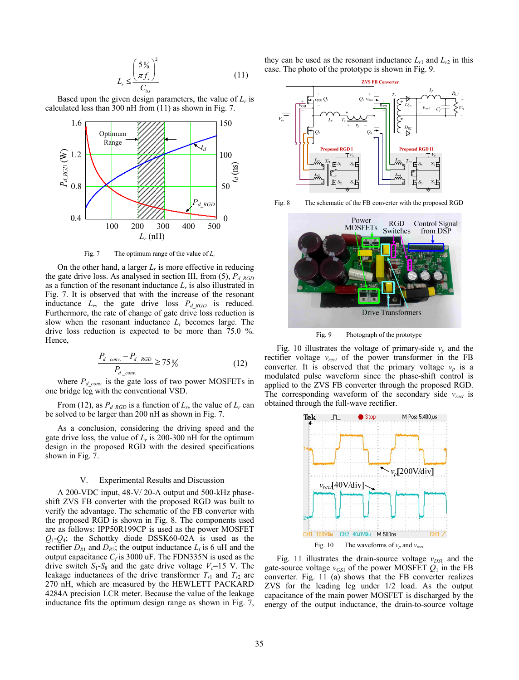$$
L_r \leq \frac{\left(\frac{5\%}{\pi f_s}\right)^2}{C_{\text{iss}}} \tag{11}
$$

Based upon the given design parameters, the value of  $L_r$  is calculated less than 300 nH from (11) as shown in Fig. 7.



Fig. 7 The optimum range of the value of *Lr*

On the other hand, a larger  $L_r$  is more effective in reducing the gate drive loss. As analysed in section III, from (5), *Pd\_RGD* as a function of the resonant inductance  $L_r$  is also illustrated in Fig. 7. It is observed that with the increase of the resonant inductance  $L_r$ , the gate drive loss  $P_{d_R G D}$  is reduced. Furthermore, the rate of change of gate drive loss reduction is slow when the resonant inductance *Lr* becomes large. The drive loss reduction is expected to be more than 75.0 %. Hence,

$$
\frac{P_{d\_conv.} - P_{d\_RGB}}{P_{d\_conv.}} \ge 75\,\%
$$
\n(12)

where  $P_{d\text{conv}}$  is the gate loss of two power MOSFETs in one bridge leg with the conventional VSD.

From (12), as  $P_{d, RGD}$  is a function of  $L_r$ , the value of  $L_r$  can be solved to be larger than 200 nH as shown in Fig. 7.

As a conclusion, considering the driving speed and the gate drive loss, the value of  $L_r$  is 200-300 nH for the optimum design in the proposed RGD with the desired specifications shown in Fig. 7.

#### V. Experimental Results and Discussion

A 200-VDC input, 48-V/ 20-A output and 500-kHz phaseshift ZVS FB converter with the proposed RGD was built to verify the advantage. The schematic of the FB converter with the proposed RGD is shown in Fig. 8. The components used are as follows: IPP50R199CP is used as the power MOSFET  $Q_1$ - $Q_4$ ; the Schottky diode DSSK60-02A is used as the rectifier  $D_{R1}$  and  $D_{R2}$ ; the output inductance  $L_f$  is 6 uH and the output capacitance  $C_f$  is 3000 uF. The FDN335N is used as the drive switch  $S_1$ - $S_8$  and the gate drive voltage  $V_c$ =15 V. The leakage inductances of the drive transformer  $T_{r1}$  and  $T_{r2}$  are 270 nH, which are measured by the HEWLETT PACKARD 4284A precision LCR meter. Because the value of the leakage inductance fits the optimum design range as shown in Fig. 7,

they can be used as the resonant inductance  $L_{r1}$  and  $L_{r2}$  in this case. The photo of the prototype is shown in Fig. 9.



Fig. 8 The schematic of the FB converter with the proposed RGD



Fig. 9 Photograph of the prototype

Fig. 10 illustrates the voltage of primary-side  $v_p$  and the rectifier voltage *vrect* of the power transformer in the FB converter. It is observed that the primary voltage  $v_p$  is a modulated pulse waveform since the phase-shift control is applied to the ZVS FB converter through the proposed RGD. The corresponding waveform of the secondary side *vrect* is obtained through the full-wave rectifier.



Fig. 11 illustrates the drain-source voltage  $v_{DS1}$  and the gate-source voltage  $v_{GS1}$  of the power MOSFET  $Q_1$  in the FB converter. Fig. 11 (a) shows that the FB converter realizes ZVS for the leading leg under 1/2 load. As the output capacitance of the main power MOSFET is discharged by the energy of the output inductance, the drain-to-source voltage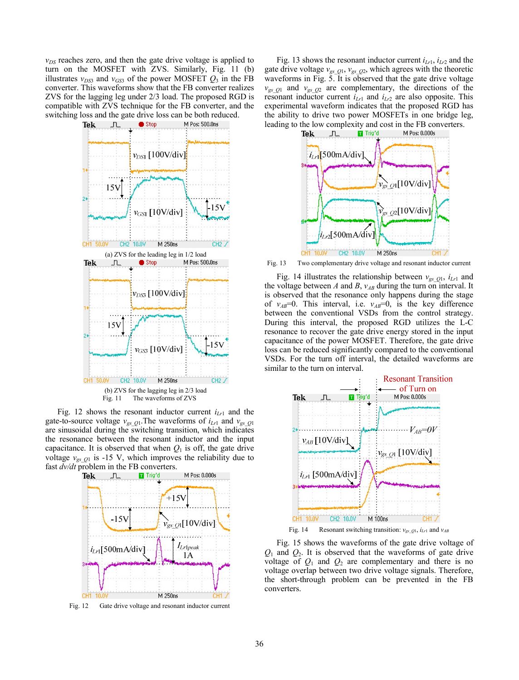$v_{DS}$  reaches zero, and then the gate drive voltage is applied to turn on the MOSFET with ZVS. Similarly, Fig. 11 (b) illustrates  $v_{DS3}$  and  $v_{GS3}$  of the power MOSFET  $Q_3$  in the FB converter. This waveforms show that the FB converter realizes ZVS for the lagging leg under 2/3 load. The proposed RGD is compatible with ZVS technique for the FB converter, and the switching loss and the gate drive loss can be both reduced.



Fig. 12 shows the resonant inductor current  $i_{Lr1}$  and the gate-to-source voltage  $v_{gsQ1}$ . The waveforms of  $i_{Lr1}$  and  $v_{gsQ1}$ are sinusoidal during the switching transition, which indicates the resonance between the resonant inductor and the input capacitance. It is observed that when  $Q_1$  is off, the gate drive voltage  $v_{gsQ1}$  is -15 V, which improves the reliability due to fast  $dv/dt$  problem in the FB converters.



Fig. 12 Gate drive voltage and resonant inductor current

Fig. 13 shows the resonant inductor current  $i_{Lr1}$ ,  $i_{Lr2}$  and the gate drive voltage  $v_{gs\_Q1}$ ,  $v_{gs\_Q2}$ , which agrees with the theoretic waveforms in Fig. 5. It is observed that the gate drive voltage  $v_{gsQ1}$  and  $v_{gsQ2}$  are complementary, the directions of the resonant inductor current  $i_{Lr1}$  and  $i_{Lr2}$  are also opposite. This experimental waveform indicates that the proposed RGD has the ability to drive two power MOSFETs in one bridge leg, leading to the low complexity and cost in the FB converters.<br> **The EX**  $\int_{\ln}$  **II** Trig'd M Pos: 0.000s



Fig. 13 Two complementary drive voltage and resonant inductor current

Fig. 14 illustrates the relationship between  $v_{gsO1}$ ,  $i_{Lr1}$  and the voltage between *A* and *B*,  $v_{AB}$  during the turn on interval. It is observed that the resonance only happens during the stage of  $v_{AB}$ =0. This interval, i.e.  $v_{AB}$ =0, is the key difference between the conventional VSDs from the control strategy. During this interval, the proposed RGD utilizes the L-C resonance to recover the gate drive energy stored in the input capacitance of the power MOSFET. Therefore, the gate drive loss can be reduced significantly compared to the conventional VSDs. For the turn off interval, the detailed waveforms are similar to the turn on interval.



Fig. 14 Resonant switching transition:  $v_{gsQ1}$ ,  $i_{Lr1}$  and  $v_{AB}$ 

Fig. 15 shows the waveforms of the gate drive voltage of *Q*1 and *Q*2. It is observed that the waveforms of gate drive voltage of  $Q_1$  and  $Q_2$  are complementary and there is no voltage overlap between two drive voltage signals. Therefore, the short-through problem can be prevented in the FB converters.